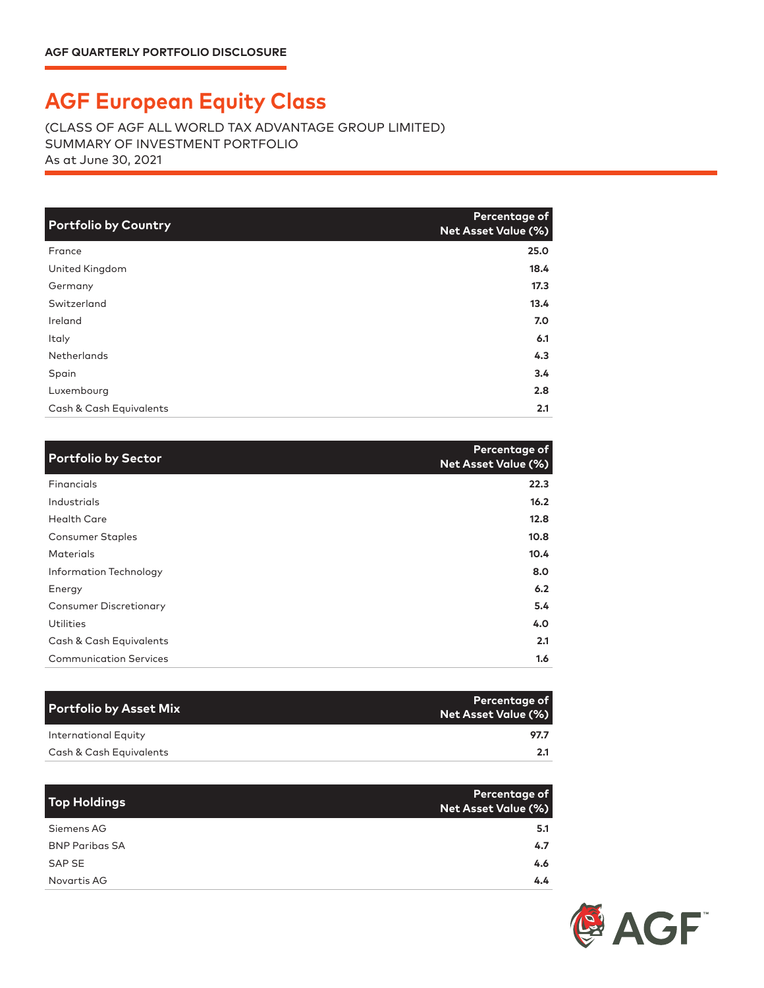## **AGF European Equity Class**

(CLASS OF AGF ALL WORLD TAX ADVANTAGE GROUP LIMITED) SUMMARY OF INVESTMENT PORTFOLIO As at June 30, 2021

| <b>Portfolio by Country</b> | Percentage of<br><b>Net Asset Value (%)</b> |
|-----------------------------|---------------------------------------------|
| France                      | 25.0                                        |
| United Kingdom              | 18.4                                        |
| Germany                     | 17.3                                        |
| Switzerland                 | 13.4                                        |
| Ireland                     | 7.0                                         |
| Italy                       | 6.1                                         |
| Netherlands                 | 4.3                                         |
| Spain                       | 3.4                                         |
| Luxembourg                  | 2.8                                         |
| Cash & Cash Equivalents     | 2.1                                         |

| <b>Portfolio by Sector</b>    | Percentage of<br><b>Net Asset Value (%)</b> |
|-------------------------------|---------------------------------------------|
| Financials                    | 22.3                                        |
| Industrials                   | 16.2                                        |
| <b>Health Care</b>            | 12.8                                        |
| <b>Consumer Staples</b>       | 10.8                                        |
| <b>Materials</b>              | 10.4                                        |
| Information Technology        | 8.0                                         |
| Energy                        | 6.2                                         |
| <b>Consumer Discretionary</b> | 5.4                                         |
| <b>Utilities</b>              | 4.0                                         |
| Cash & Cash Equivalents       | 2.1                                         |
| <b>Communication Services</b> | 1.6                                         |

| <b>Portfolio by Asset Mix</b> | <b>Percentage of</b><br><b>Net Asset Value (%)</b> |
|-------------------------------|----------------------------------------------------|
| International Equity          | 97.7                                               |
| Cash & Cash Equivalents       |                                                    |

| Top Holdings          | Percentage of<br>Net Asset Value (%) |
|-----------------------|--------------------------------------|
| Siemens AG            | 5.1                                  |
| <b>BNP Paribas SA</b> | 4.7                                  |
| SAP SE                | 4.6                                  |
| Novartis AG           | $4.4^{\circ}$                        |